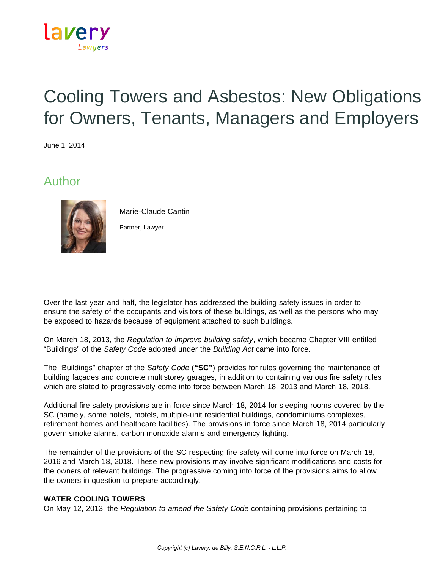

# Cooling Towers and Asbestos: New Obligations for Owners, Tenants, Managers and Employers

June 1, 2014

## Author



Marie-Claude Cantin

Partner, Lawyer

Over the last year and half, the legislator has addressed the building safety issues in order to ensure the safety of the occupants and visitors of these buildings, as well as the persons who may be exposed to hazards because of equipment attached to such buildings.

On March 18, 2013, the *Regulation to improve building safety*, which became Chapter VIII entitled "Buildings" of the *Safety Code* adopted under the *Building Act* came into force.

The "Buildings" chapter of the *Safety Code* (**"SC"**) provides for rules governing the maintenance of building façades and concrete multistorey garages, in addition to containing various fire safety rules which are slated to progressively come into force between March 18, 2013 and March 18, 2018.

Additional fire safety provisions are in force since March 18, 2014 for sleeping rooms covered by the SC (namely, some hotels, motels, multiple-unit residential buildings, condominiums complexes, retirement homes and healthcare facilities). The provisions in force since March 18, 2014 particularly govern smoke alarms, carbon monoxide alarms and emergency lighting.

The remainder of the provisions of the SC respecting fire safety will come into force on March 18, 2016 and March 18, 2018. These new provisions may involve significant modifications and costs for the owners of relevant buildings. The progressive coming into force of the provisions aims to allow the owners in question to prepare accordingly.

#### **WATER COOLING TOWERS**

On May 12, 2013, the *Regulation to amend the Safety Code* containing provisions pertaining to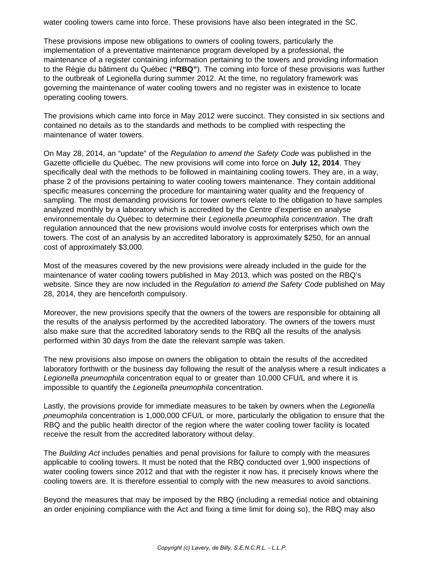water cooling towers came into force. These provisions have also been integrated in the SC.

These provisions impose new obligations to owners of cooling towers, particularly the implementation of a preventative maintenance program developed by a professional, the maintenance of a register containing information pertaining to the towers and providing information to the Régie du bâtiment du Québec (**"RBQ"**). The coming into force of these provisions was further to the outbreak of Legionella during summer 2012. At the time, no regulatory framework was governing the maintenance of water cooling towers and no register was in existence to locate operating cooling towers.

The provisions which came into force in May 2012 were succinct. They consisted in six sections and contained no details as to the standards and methods to be complied with respecting the maintenance of water towers.

On May 28, 2014, an "update" of the *Regulation to amend the Safety Code* was published in the Gazette officielle du Québec. The new provisions will come into force on **July 12, 2014**. They specifically deal with the methods to be followed in maintaining cooling towers. They are, in a way, phase 2 of the provisions pertaining to water cooling towers maintenance. They contain additional specific measures concerning the procedure for maintaining water quality and the frequency of sampling. The most demanding provisions for tower owners relate to the obligation to have samples analyzed monthly by a laboratory which is accredited by the Centre d'expertise en analyse environnementale du Québec to determine their *Legionella pneumophila concentration*. The draft regulation announced that the new provisions would involve costs for enterprises which own the towers. The cost of an analysis by an accredited laboratory is approximately \$250, for an annual cost of approximately \$3,000.

Most of the measures covered by the new provisions were already included in the guide for the maintenance of water cooling towers published in May 2013, which was posted on the RBQ's website. Since they are now included in the *Regulation to amend the Safety Code* published on May 28, 2014, they are henceforth compulsory.

Moreover, the new provisions specify that the owners of the towers are responsible for obtaining all the results of the analysis performed by the accredited laboratory. The owners of the towers must also make sure that the accredited laboratory sends to the RBQ all the results of the analysis performed within 30 days from the date the relevant sample was taken.

The new provisions also impose on owners the obligation to obtain the results of the accredited laboratory forthwith or the business day following the result of the analysis where a result indicates a *Legionella pneumophila* concentration equal to or greater than 10,000 CFU/L and where it is impossible to quantify the *Legionella pneumophila* concentration.

Lastly, the provisions provide for immediate measures to be taken by owners when the *Legionella pneumophila* concentration is 1,000,000 CFU/L or more, particularly the obligation to ensure that the RBQ and the public health director of the region where the water cooling tower facility is located receive the result from the accredited laboratory without delay.

The *Building Act* includes penalties and penal provisions for failure to comply with the measures applicable to cooling towers. It must be noted that the RBQ conducted over 1,900 inspections of water cooling towers since 2012 and that with the register it now has, it precisely knows where the cooling towers are. It is therefore essential to comply with the new measures to avoid sanctions.

Beyond the measures that may be imposed by the RBQ (including a remedial notice and obtaining an order enjoining compliance with the Act and fixing a time limit for doing so), the RBQ may also